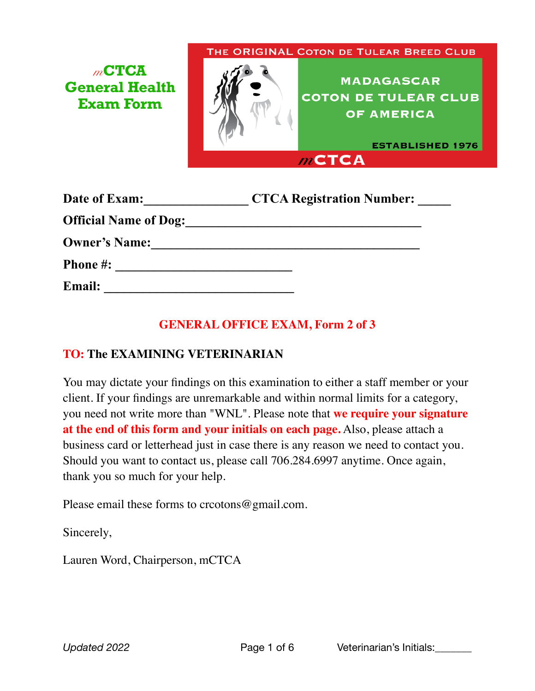## *m***CTCA General Health Exam Form**

THE ORIGINAL COTON DE TULEAR BREED CLUB



**MADAGASCAR COTON DE TULEAR CLUB OF AMERICA** 

**ESTABLISHED 1976**  $m$ CTCA

| Date of Exam:                | <b>CTCA Registration Number:</b> |
|------------------------------|----------------------------------|
| <b>Official Name of Dog:</b> |                                  |
| <b>Owner's Name:</b>         |                                  |
| <b>Phone #:</b>              |                                  |
| <b>Email:</b>                |                                  |

## **GENERAL OFFICE EXAM, Form 2 of 3**

## **TO: The EXAMINING VETERINARIAN**

You may dictate your findings on this examination to either a staff member or your client. If your findings are unremarkable and within normal limits for a category, you need not write more than "WNL". Please note that **we require your signature at the end of this form and your initials on each page.** Also, please attach a business card or letterhead just in case there is any reason we need to contact you. Should you want to contact us, please call 706.284.6997 anytime. Once again, thank you so much for your help.

Please email these forms to crcotons@gmail.com.

Sincerely,

Lauren Word, Chairperson, mCTCA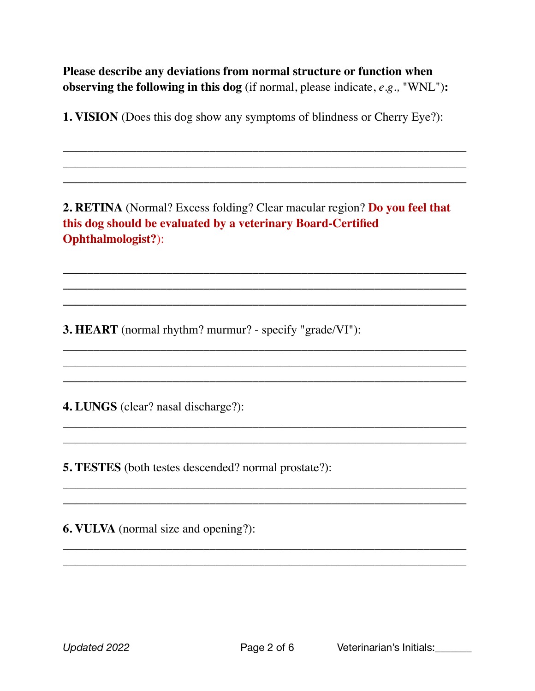**Please describe any deviations from normal structure or function when observing the following in this dog** (if normal, please indicate, *e.g.,* "WNL")**:**

**1. VISION** (Does this dog show any symptoms of blindness or Cherry Eye?):

\_\_\_\_\_\_\_\_\_\_\_\_\_\_\_\_\_\_\_\_\_\_\_\_\_\_\_\_\_\_\_\_\_\_\_\_\_\_\_\_\_\_\_\_\_\_\_\_\_\_\_\_\_\_\_\_\_\_\_\_\_\_\_\_\_\_ \_\_\_\_\_\_\_\_\_\_\_\_\_\_\_\_\_\_\_\_\_\_\_\_\_\_\_\_\_\_\_\_\_\_\_\_\_\_\_\_\_\_\_\_\_\_\_\_\_\_\_\_\_\_\_\_\_\_\_\_\_\_\_\_\_\_ \_\_\_\_\_\_\_\_\_\_\_\_\_\_\_\_\_\_\_\_\_\_\_\_\_\_\_\_\_\_\_\_\_\_\_\_\_\_\_\_\_\_\_\_\_\_\_\_\_\_\_\_\_\_\_\_\_\_\_\_\_\_\_\_\_\_

**2. RETINA** (Normal? Excess folding? Clear macular region? **Do you feel that this dog should be evaluated by a veterinary Board-Certified Ophthalmologist?**):

**\_\_\_\_\_\_\_\_\_\_\_\_\_\_\_\_\_\_\_\_\_\_\_\_\_\_\_\_\_\_\_\_\_\_\_\_\_\_\_\_\_\_\_\_\_\_\_\_\_\_\_\_\_\_\_\_\_\_\_\_\_\_\_\_\_\_ \_\_\_\_\_\_\_\_\_\_\_\_\_\_\_\_\_\_\_\_\_\_\_\_\_\_\_\_\_\_\_\_\_\_\_\_\_\_\_\_\_\_\_\_\_\_\_\_\_\_\_\_\_\_\_\_\_\_\_\_\_\_\_\_\_\_ \_\_\_\_\_\_\_\_\_\_\_\_\_\_\_\_\_\_\_\_\_\_\_\_\_\_\_\_\_\_\_\_\_\_\_\_\_\_\_\_\_\_\_\_\_\_\_\_\_\_\_\_\_\_\_\_\_\_\_\_\_\_\_\_\_\_**

\_\_\_\_\_\_\_\_\_\_\_\_\_\_\_\_\_\_\_\_\_\_\_\_\_\_\_\_\_\_\_\_\_\_\_\_\_\_\_\_\_\_\_\_\_\_\_\_\_\_\_\_\_\_\_\_\_\_\_\_\_\_\_\_\_\_ \_\_\_\_\_\_\_\_\_\_\_\_\_\_\_\_\_\_\_\_\_\_\_\_\_\_\_\_\_\_\_\_\_\_\_\_\_\_\_\_\_\_\_\_\_\_\_\_\_\_\_\_\_\_\_\_\_\_\_\_\_\_\_\_\_\_ \_\_\_\_\_\_\_\_\_\_\_\_\_\_\_\_\_\_\_\_\_\_\_\_\_\_\_\_\_\_\_\_\_\_\_\_\_\_\_\_\_\_\_\_\_\_\_\_\_\_\_\_\_\_\_\_\_\_\_\_\_\_\_\_\_\_

\_\_\_\_\_\_\_\_\_\_\_\_\_\_\_\_\_\_\_\_\_\_\_\_\_\_\_\_\_\_\_\_\_\_\_\_\_\_\_\_\_\_\_\_\_\_\_\_\_\_\_\_\_\_\_\_\_\_\_\_\_\_\_\_\_\_ \_\_\_\_\_\_\_\_\_\_\_\_\_\_\_\_\_\_\_\_\_\_\_\_\_\_\_\_\_\_\_\_\_\_\_\_\_\_\_\_\_\_\_\_\_\_\_\_\_\_\_\_\_\_\_\_\_\_\_\_\_\_\_\_\_\_

\_\_\_\_\_\_\_\_\_\_\_\_\_\_\_\_\_\_\_\_\_\_\_\_\_\_\_\_\_\_\_\_\_\_\_\_\_\_\_\_\_\_\_\_\_\_\_\_\_\_\_\_\_\_\_\_\_\_\_\_\_\_\_\_\_\_ \_\_\_\_\_\_\_\_\_\_\_\_\_\_\_\_\_\_\_\_\_\_\_\_\_\_\_\_\_\_\_\_\_\_\_\_\_\_\_\_\_\_\_\_\_\_\_\_\_\_\_\_\_\_\_\_\_\_\_\_\_\_\_\_\_\_

\_\_\_\_\_\_\_\_\_\_\_\_\_\_\_\_\_\_\_\_\_\_\_\_\_\_\_\_\_\_\_\_\_\_\_\_\_\_\_\_\_\_\_\_\_\_\_\_\_\_\_\_\_\_\_\_\_\_\_\_\_\_\_\_\_\_ \_\_\_\_\_\_\_\_\_\_\_\_\_\_\_\_\_\_\_\_\_\_\_\_\_\_\_\_\_\_\_\_\_\_\_\_\_\_\_\_\_\_\_\_\_\_\_\_\_\_\_\_\_\_\_\_\_\_\_\_\_\_\_\_\_\_

**3. HEART** (normal rhythm? murmur? - specify "grade/VI"):

**4. LUNGS** (clear? nasal discharge?):

**5. TESTES** (both testes descended? normal prostate?):

**6. VULVA** (normal size and opening?):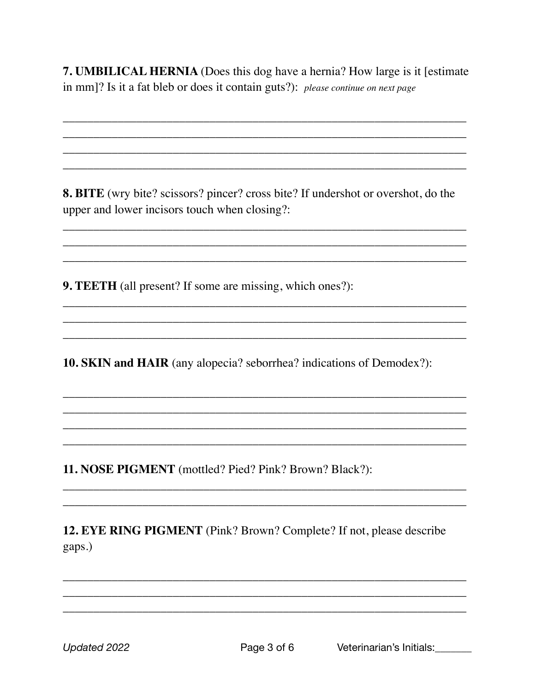**7. UMBILICAL HERNIA** (Does this dog have a hernia? How large is it [estimate] in mm]? Is it a fat bleb or does it contain guts?): please continue on next page

8. BITE (wry bite? scissors? pincer? cross bite? If undershot or overshot, do the upper and lower incisors touch when closing?:

**9. TEETH** (all present? If some are missing, which ones?):

10. SKIN and HAIR (any alopecia? seborrhea? indications of Demodex?):

11. NOSE PIGMENT (mottled? Pied? Pink? Brown? Black?):

12. EYE RING PIGMENT (Pink? Brown? Complete? If not, please describe gaps.)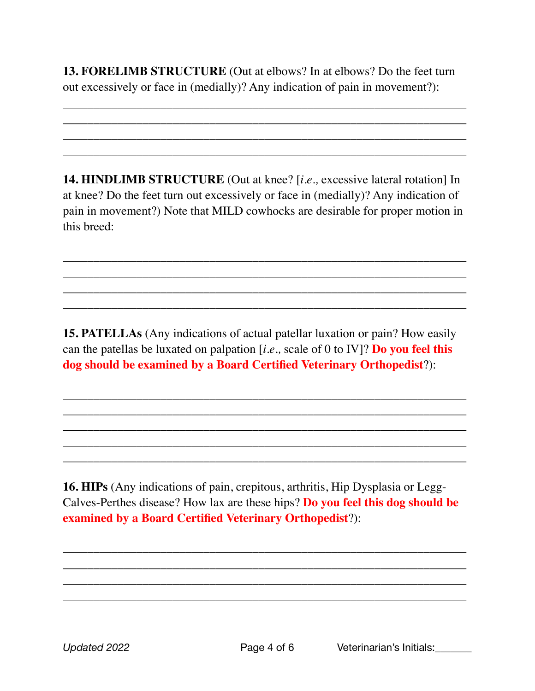**13. FORELIMB STRUCTURE** (Out at elbows? In at elbows? Do the feet turn out excessively or face in (medially)? Any indication of pain in movement?):

\_\_\_\_\_\_\_\_\_\_\_\_\_\_\_\_\_\_\_\_\_\_\_\_\_\_\_\_\_\_\_\_\_\_\_\_\_\_\_\_\_\_\_\_\_\_\_\_\_\_\_\_\_\_\_\_\_\_\_\_\_\_\_\_\_\_ \_\_\_\_\_\_\_\_\_\_\_\_\_\_\_\_\_\_\_\_\_\_\_\_\_\_\_\_\_\_\_\_\_\_\_\_\_\_\_\_\_\_\_\_\_\_\_\_\_\_\_\_\_\_\_\_\_\_\_\_\_\_\_\_\_\_ \_\_\_\_\_\_\_\_\_\_\_\_\_\_\_\_\_\_\_\_\_\_\_\_\_\_\_\_\_\_\_\_\_\_\_\_\_\_\_\_\_\_\_\_\_\_\_\_\_\_\_\_\_\_\_\_\_\_\_\_\_\_\_\_\_\_ \_\_\_\_\_\_\_\_\_\_\_\_\_\_\_\_\_\_\_\_\_\_\_\_\_\_\_\_\_\_\_\_\_\_\_\_\_\_\_\_\_\_\_\_\_\_\_\_\_\_\_\_\_\_\_\_\_\_\_\_\_\_\_\_\_\_

**14. HINDLIMB STRUCTURE** (Out at knee? [*i.e.,* excessive lateral rotation] In at knee? Do the feet turn out excessively or face in (medially)? Any indication of pain in movement?) Note that MILD cowhocks are desirable for proper motion in this breed:

\_\_\_\_\_\_\_\_\_\_\_\_\_\_\_\_\_\_\_\_\_\_\_\_\_\_\_\_\_\_\_\_\_\_\_\_\_\_\_\_\_\_\_\_\_\_\_\_\_\_\_\_\_\_\_\_\_\_\_\_\_\_\_\_\_\_ \_\_\_\_\_\_\_\_\_\_\_\_\_\_\_\_\_\_\_\_\_\_\_\_\_\_\_\_\_\_\_\_\_\_\_\_\_\_\_\_\_\_\_\_\_\_\_\_\_\_\_\_\_\_\_\_\_\_\_\_\_\_\_\_\_\_ \_\_\_\_\_\_\_\_\_\_\_\_\_\_\_\_\_\_\_\_\_\_\_\_\_\_\_\_\_\_\_\_\_\_\_\_\_\_\_\_\_\_\_\_\_\_\_\_\_\_\_\_\_\_\_\_\_\_\_\_\_\_\_\_\_\_ \_\_\_\_\_\_\_\_\_\_\_\_\_\_\_\_\_\_\_\_\_\_\_\_\_\_\_\_\_\_\_\_\_\_\_\_\_\_\_\_\_\_\_\_\_\_\_\_\_\_\_\_\_\_\_\_\_\_\_\_\_\_\_\_\_\_

**15. PATELLAs** (Any indications of actual patellar luxation or pain? How easily can the patellas be luxated on palpation [*i.e.,* scale of 0 to IV]? **Do you feel this dog should be examined by a Board Certified Veterinary Orthopedist**?):

\_\_\_\_\_\_\_\_\_\_\_\_\_\_\_\_\_\_\_\_\_\_\_\_\_\_\_\_\_\_\_\_\_\_\_\_\_\_\_\_\_\_\_\_\_\_\_\_\_\_\_\_\_\_\_\_\_\_\_\_\_\_\_\_\_\_ \_\_\_\_\_\_\_\_\_\_\_\_\_\_\_\_\_\_\_\_\_\_\_\_\_\_\_\_\_\_\_\_\_\_\_\_\_\_\_\_\_\_\_\_\_\_\_\_\_\_\_\_\_\_\_\_\_\_\_\_\_\_\_\_\_\_ \_\_\_\_\_\_\_\_\_\_\_\_\_\_\_\_\_\_\_\_\_\_\_\_\_\_\_\_\_\_\_\_\_\_\_\_\_\_\_\_\_\_\_\_\_\_\_\_\_\_\_\_\_\_\_\_\_\_\_\_\_\_\_\_\_\_ \_\_\_\_\_\_\_\_\_\_\_\_\_\_\_\_\_\_\_\_\_\_\_\_\_\_\_\_\_\_\_\_\_\_\_\_\_\_\_\_\_\_\_\_\_\_\_\_\_\_\_\_\_\_\_\_\_\_\_\_\_\_\_\_\_\_ \_\_\_\_\_\_\_\_\_\_\_\_\_\_\_\_\_\_\_\_\_\_\_\_\_\_\_\_\_\_\_\_\_\_\_\_\_\_\_\_\_\_\_\_\_\_\_\_\_\_\_\_\_\_\_\_\_\_\_\_\_\_\_\_\_\_

**16. HIPs** (Any indications of pain, crepitous, arthritis, Hip Dysplasia or Legg-Calves-Perthes disease? How lax are these hips? **Do you feel this dog should be examined by a Board Certified Veterinary Orthopedist**?):

\_\_\_\_\_\_\_\_\_\_\_\_\_\_\_\_\_\_\_\_\_\_\_\_\_\_\_\_\_\_\_\_\_\_\_\_\_\_\_\_\_\_\_\_\_\_\_\_\_\_\_\_\_\_\_\_\_\_\_\_\_\_\_\_\_\_ \_\_\_\_\_\_\_\_\_\_\_\_\_\_\_\_\_\_\_\_\_\_\_\_\_\_\_\_\_\_\_\_\_\_\_\_\_\_\_\_\_\_\_\_\_\_\_\_\_\_\_\_\_\_\_\_\_\_\_\_\_\_\_\_\_\_ \_\_\_\_\_\_\_\_\_\_\_\_\_\_\_\_\_\_\_\_\_\_\_\_\_\_\_\_\_\_\_\_\_\_\_\_\_\_\_\_\_\_\_\_\_\_\_\_\_\_\_\_\_\_\_\_\_\_\_\_\_\_\_\_\_\_ \_\_\_\_\_\_\_\_\_\_\_\_\_\_\_\_\_\_\_\_\_\_\_\_\_\_\_\_\_\_\_\_\_\_\_\_\_\_\_\_\_\_\_\_\_\_\_\_\_\_\_\_\_\_\_\_\_\_\_\_\_\_\_\_\_\_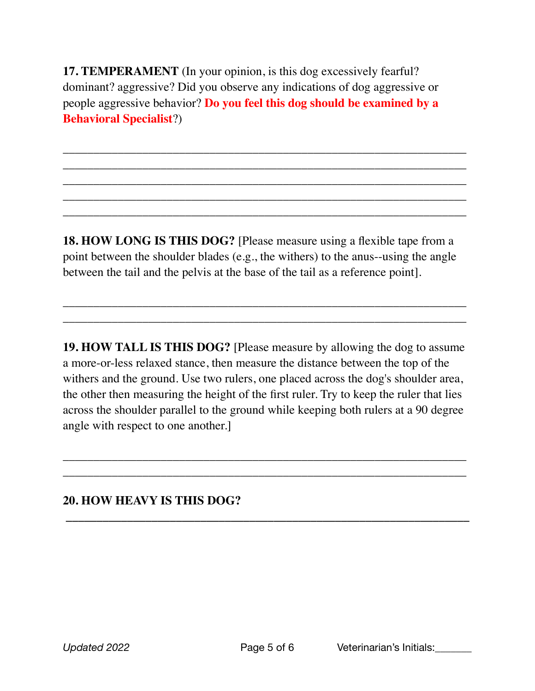**17. TEMPERAMENT** (In your opinion, is this dog excessively fearful? dominant? aggressive? Did you observe any indications of dog aggressive or people aggressive behavior? **Do you feel this dog should be examined by a Behavioral Specialist**?)

\_\_\_\_\_\_\_\_\_\_\_\_\_\_\_\_\_\_\_\_\_\_\_\_\_\_\_\_\_\_\_\_\_\_\_\_\_\_\_\_\_\_\_\_\_\_\_\_\_\_\_\_\_\_\_\_\_\_\_\_\_\_\_\_\_\_ \_\_\_\_\_\_\_\_\_\_\_\_\_\_\_\_\_\_\_\_\_\_\_\_\_\_\_\_\_\_\_\_\_\_\_\_\_\_\_\_\_\_\_\_\_\_\_\_\_\_\_\_\_\_\_\_\_\_\_\_\_\_\_\_\_\_ \_\_\_\_\_\_\_\_\_\_\_\_\_\_\_\_\_\_\_\_\_\_\_\_\_\_\_\_\_\_\_\_\_\_\_\_\_\_\_\_\_\_\_\_\_\_\_\_\_\_\_\_\_\_\_\_\_\_\_\_\_\_\_\_\_\_ \_\_\_\_\_\_\_\_\_\_\_\_\_\_\_\_\_\_\_\_\_\_\_\_\_\_\_\_\_\_\_\_\_\_\_\_\_\_\_\_\_\_\_\_\_\_\_\_\_\_\_\_\_\_\_\_\_\_\_\_\_\_\_\_\_\_ \_\_\_\_\_\_\_\_\_\_\_\_\_\_\_\_\_\_\_\_\_\_\_\_\_\_\_\_\_\_\_\_\_\_\_\_\_\_\_\_\_\_\_\_\_\_\_\_\_\_\_\_\_\_\_\_\_\_\_\_\_\_\_\_\_\_

**18. HOW LONG IS THIS DOG?** [Please measure using a flexible tape from a point between the shoulder blades (e.g., the withers) to the anus--using the angle between the tail and the pelvis at the base of the tail as a reference point].

\_\_\_\_\_\_\_\_\_\_\_\_\_\_\_\_\_\_\_\_\_\_\_\_\_\_\_\_\_\_\_\_\_\_\_\_\_\_\_\_\_\_\_\_\_\_\_\_\_\_\_\_\_\_\_\_\_\_\_\_\_\_\_\_\_\_ \_\_\_\_\_\_\_\_\_\_\_\_\_\_\_\_\_\_\_\_\_\_\_\_\_\_\_\_\_\_\_\_\_\_\_\_\_\_\_\_\_\_\_\_\_\_\_\_\_\_\_\_\_\_\_\_\_\_\_\_\_\_\_\_\_\_

**19. HOW TALL IS THIS DOG?** [Please measure by allowing the dog to assume a more-or-less relaxed stance, then measure the distance between the top of the withers and the ground. Use two rulers, one placed across the dog's shoulder area, the other then measuring the height of the first ruler. Try to keep the ruler that lies across the shoulder parallel to the ground while keeping both rulers at a 90 degree angle with respect to one another.]

\_\_\_\_\_\_\_\_\_\_\_\_\_\_\_\_\_\_\_\_\_\_\_\_\_\_\_\_\_\_\_\_\_\_\_\_\_\_\_\_\_\_\_\_\_\_\_\_\_\_\_\_\_\_\_\_\_\_\_\_\_\_\_\_\_\_ \_\_\_\_\_\_\_\_\_\_\_\_\_\_\_\_\_\_\_\_\_\_\_\_\_\_\_\_\_\_\_\_\_\_\_\_\_\_\_\_\_\_\_\_\_\_\_\_\_\_\_\_\_\_\_\_\_\_\_\_\_\_\_\_\_\_

 **\_\_\_\_\_\_\_\_\_\_\_\_\_\_\_\_\_\_\_\_\_\_\_\_\_\_\_\_\_\_\_\_\_\_\_\_\_\_\_\_\_\_\_\_\_\_\_\_\_\_\_\_\_\_\_\_\_\_\_\_\_\_\_\_\_\_**

**20. HOW HEAVY IS THIS DOG?**